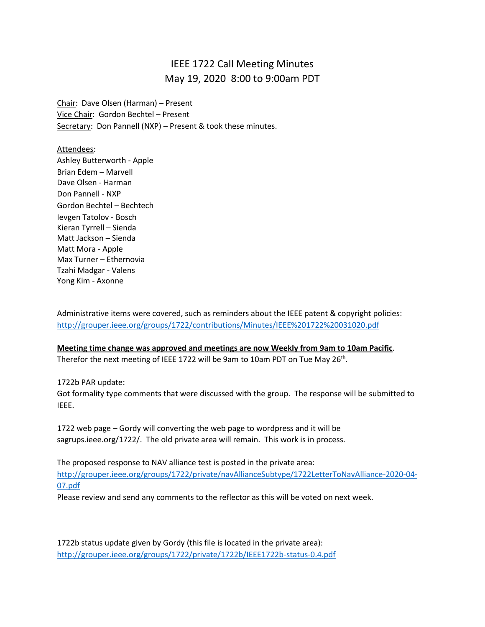## IEEE 1722 Call Meeting Minutes May 19, 2020 8:00 to 9:00am PDT

Chair: Dave Olsen (Harman) – Present Vice Chair: Gordon Bechtel – Present Secretary: Don Pannell (NXP) - Present & took these minutes.

Attendees:

Ashley Butterworth - Apple Brian Edem – Marvell Dave Olsen - Harman Don Pannell - NXP Gordon Bechtel – Bechtech Ievgen Tatolov - Bosch Kieran Tyrrell – Sienda Matt Jackson – Sienda Matt Mora - Apple Max Turner – Ethernovia Tzahi Madgar - Valens Yong Kim - Axonne

Administrative items were covered, such as reminders about the IEEE patent & copyright policies: <http://grouper.ieee.org/groups/1722/contributions/Minutes/IEEE%201722%20031020.pdf>

**Meeting time change was approved and meetings are now Weekly from 9am to 10am Pacific**. Therefor the next meeting of IEEE 1722 will be 9am to 10am PDT on Tue May 26<sup>th</sup>.

1722b PAR update: Got formality type comments that were discussed with the group. The response will be submitted to IEEE.

1722 web page – Gordy will converting the web page to wordpress and it will be sagrups.ieee.org/1722/. The old private area will remain. This work is in process.

The proposed response to NAV alliance test is posted in the private area: [http://grouper.ieee.org/groups/1722/private/navAllianceSubtype/1722LetterToNavAlliance-2020-04-](http://grouper.ieee.org/groups/1722/private/navAllianceSubtype/1722LetterToNavAlliance-2020-04-07.pdf) [07.pdf](http://grouper.ieee.org/groups/1722/private/navAllianceSubtype/1722LetterToNavAlliance-2020-04-07.pdf)

Please review and send any comments to the reflector as this will be voted on next week.

1722b status update given by Gordy (this file is located in the private area): <http://grouper.ieee.org/groups/1722/private/1722b/IEEE1722b-status-0.4.pdf>